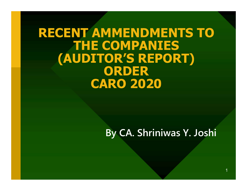#### RECENT AMMENDMENTS TO THE COMPANIES (AUDITOR'S REPORT) ORDER CARO 2020

#### By CA. Shriniwas Y. Joshi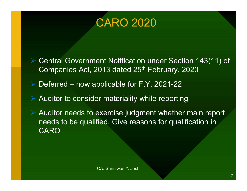#### CARO 2020

 Central Government Notification under Section 143(11) of Companies Act, 2013 dated 25<sup>th</sup> February, 2020 CARO 2020<br>
> Central Government Notification under Section 143(11) of<br>
Companies Act, 2013 dated 25<sup>th</sup> February, 2020<br>
> Deferred – now applicable for F.Y. 2021-22<br>
> Auditor to consider materiality while reporting

 $\triangleright$  Auditor to consider materiality while reporting

 Auditor needs to exercise judgment whether main report needs to be qualified. Give reasons for qualification in **CARO** The materiality while reporting<br>Exercise judgment whether main report<br>Fied. Give reasons for qualification in<br>CA. Shriniwas Y. Joshi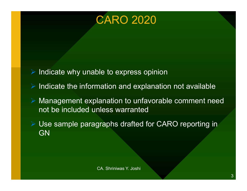

- Indicate why unable to express opinion
- Indicate the information and explanation not available
- Management explanation to unfavorable comment need not be included unless warranted Mation and explanation not available<br>lanation to unfavorable comment need<br>nless warranted<br>graphs drafted for CARO reporting in<br>ca. Shriniwas Y. Joshi
- Use sample paragraphs drafted for CARO reporting in **GN**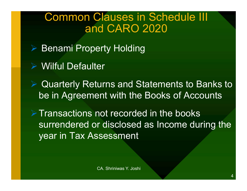#### Common Clauses in Schedule III and CARO 2020

- **▶ Benami Property Holding**
- Wilful Defaulter
- **▶ Quarterly Returns and Statements to Banks to** be in Agreement with the Books of Accounts

 $\triangleright$  Transactions not recorded in the books surrendered or disclosed as Income during the year in Tax Assessment ent with the Books of Accounts<br>not recorded in the books<br>r disclosed as Income during the<br>sessment<br>ca. shriniwas Y. Joshi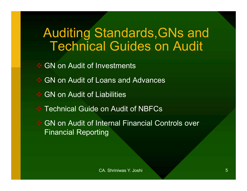# Auditing Standards, GNs and<br>Technical Guides on Audit Technical Guides on Audit

**S** GN on Audit of Investments

- GN on Audit of Loans and Advances
- **S** GN on Audit of Liabilities
- **◆ Technical Guide on Audit of NBFCs**
- **S** GN on Audit of Internal Financial Controls over Financial Reporting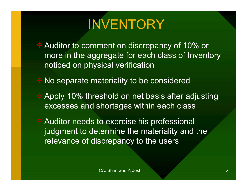# INVENTORY

- Auditor to comment on discrepancy of 10% or more in the aggregate for each class of Inventory noticed on physical verification
- No separate materiality to be considered
- ◆ Apply 10% threshold on net basis after adjusting excesses and shortages within each class
- Auditor needs to exercise his professional judgment to determine the materiality and the relevance of discrepancy to the users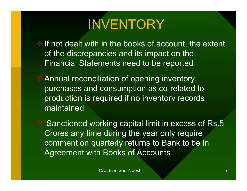# **INVENTORY**

If not dealt with in the books of account, the extent of the discrepancies and its impact on the Financial Statements need to be reported

Annual reconciliation of opening inventory, purchases and consumption as co-related to production is required if no inventory records maintained

Sanctioned working capital limit in excess of Rs.5 Crores any time during the year only require comment on quarterly returns to Bank to be in Agreement with Books of Accounts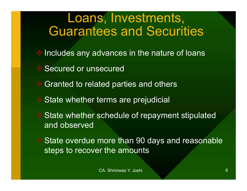- Includes any advances in the nature of loans
- **Secured or unsecured**
- Granted to related parties and others
- **State whether terms are prejudicial**
- **State whether schedule of repayment stipulated** and observed
- 

**State overdue more than 90 days and reasonable** steps to recover the amounts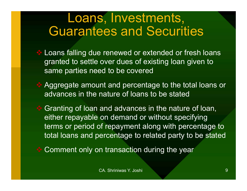- Loans falling due renewed or extended or fresh loans granted to settle over dues of existing loan given to same parties need to be covered
- **★ Aggregate amount and percentage to the total loans or** advances in the nature of loans to be stated
- **EX** Granting of loan and advances in the nature of loan, either repayable on demand or without specifying terms or period of repayment along with percentage to total loans and percentage to related party to be stated
- ❖ Comment only on transaction during the year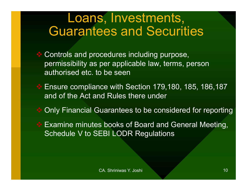- Controls and procedures including purpose, permissibility as per applicable law, terms, person **Loans, Investments,<br>Guarantees and Securi**<br>Controls and procedures including purpos<br>permissibility as per applicable law, terms,<br>authorised etc. to be seen<br>Ensure compliance with Section 179,180,
- ◆ Ensure compliance with Section 179,180, 185, 186,187 and of the Act and Rules there under
- **◆ Only Financial Guarantees to be considered for reporting**
- **Examine minutes books of Board and General Meeting,** Schedule V to SEBI LODR Regulations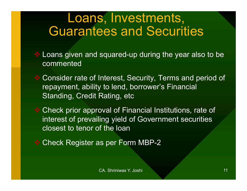- **Loans given and squared-up during the year also to be** commented
- Consider rate of Interest, Security, Terms and period of repayment, ability to lend, borrower's Financial Standing, Credit Rating, etc
- Check prior approval of Financial Institutions, rate of interest of prevailing yield of Government securities closest to tenor of the loan Rating, etc<br>
Dival of Financial Institutions, rate of<br>
ling yield of Government securities<br>
of the loan<br>
In Seper Form MBP-2<br>
CA. Shriniwas Y. Joshi
- Check Register as per Form MBP-2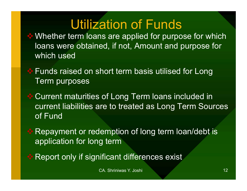# Utilization of Funds

- **♦ Whether term loans are applied for purpose for which** loans were obtained, if not, Amount and purpose for which used **Utilization of Funds**<br>
Whether term loans are applied for purpose for which<br>
loans were obtained, if not, Amount and purpose for<br>
which used<br>
Funds raised on short term basis utilised for Long<br>
Term purposes
	- Term purposes
- Current maturities of Long Term loans included in current liabilities are to treated as Long Term Sources of Fund The to treated as Long Term Sources<br>
Inter to treated as Long Term Sources<br>
Interprise of long term Ioan/debt is<br>
Interprise of long term Ioan/debt is<br>
Interprise of the Sources exist<br>
CA. Shriniwas Y. Joshi
- **EXA** Repayment or redemption of long term loan/debt is application for long term
- **\* Report only if significant differences exist**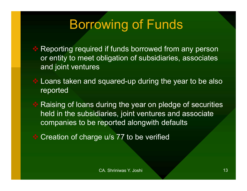# Borrowing of Funds

- Reporting required if funds borrowed from any person or entity to meet obligation of subsidiaries, associates and joint ventures
- Loans taken and squared-up during the year to be also reported
- Raising of loans during the year on pledge of securities held in the subsidiaries, joint ventures and associate Reporting required if funds borrowed from any person<br>or entity to meet obligation of subsidiaries, associates<br>and joint ventures<br>Loans taken and squared-up during the year to be also<br>reported<br>Raising of loans during the ye Iuring the year on pledge of securities<br>iaries, joint ventures and associate<br>reported alongwith defaults<br>e u/s 77 to be verified<br>CA. Shriniwas Y. Joshi
- Creation of charge u/s 77 to be verified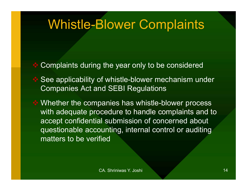## Whistle-Blower Complaints

- Complaints during the year only to be considered
- See applicability of whistle-blower mechanism under Companies Act and SEBI Regulations
- **♦ Whether the companies has whistle-blower process** with adequate procedure to handle complaints and to accept confidential submission of concerned about questionable accounting, internal control or auditing matters to be verified The Samillary School The Samillary<br>
Samilles has whistle-blower process<br>
Scedure to handle complaints and to<br>
all submission of concerned about<br>
Dunting, internal control or auditing<br>
Tied<br>
CA. Shriniwas Y. Joshi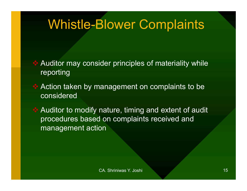# Whistle-Blower Complaints

- Auditor may consider principles of materiality while reporting
- Action taken by management on complaints to be considered
- **EXAUDITION AUDITY AUDITY AUDITY NATULE, timing and extent of audit** procedures based on complaints received and management action Example International Control of Temperature Control<br>
Internation complaints received and<br>
DON<br>
CA. Shriniwas Y. Joshi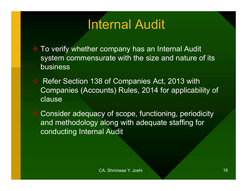# Internal Audit

- To verify whether company has an Internal Audit system commensurate with the size and nature of its business
- Refer Section 138 of Companies Act, 2013 with Companies (Accounts) Rules, 2014 for applicability of clause

 Consider adequacy of scope, functioning, periodicity and methodology along with adequate staffing for conducting Internal Audit Nunts) Rules, 2014 for applicability of<br>cy of scope, functioning, periodicity<br>along with adequate staffing for<br>al Audit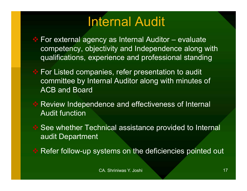# Internal Audit

- **Internal Audit**<br>◆ For external agency as Internal Auditor evaluate<br>competency, objectivity and Independence along with<br>qualifications, experience and professional standing competency, objectivity and Independence along with qualifications, experience and professional standing
- **Extem For Listed companies, refer presentation to audit** committee by Internal Auditor along with minutes of ACB and Board
- Review Independence and effectiveness of Internal Audit function
- See whether Technical assistance provided to Internal audit Department ence and effectiveness of Internal<br>nnical assistance provided to Internal<br>vstems on the deficiencies pointed out<br>c<sub>A. Shriniwas Y. Joshi</sub>
- Refer follow-up systems on the deficiencies pointed out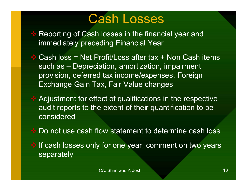## Cash Losses

- Reporting of Cash losses in the financial year and immediately preceding Financial Year
- Cash loss = Net Profit/Loss after tax + Non Cash items **Cash Losses**<br>Reporting of Cash losses in the financial year and<br>immediately preceding Financial Year<br>Cash loss = Net Profit/Loss after tax + Non Cash items<br>such as – Depreciation, amortization, impairment<br>provision, defer provision, deferred tax income/expenses, Foreign Exchange Gain Tax, Fair Value changes
- Adjustment for effect of qualifications in the respective audit reports to the extent of their quantification to be considered ect of qualifications in the respective<br>
Extent of their quantification to be<br>
ow statement to determine cash loss<br>
The owner of the statement on two years<br>
The owner of two years<br>
CA. Shriniwas Y. Joshi
	- Do not use cash flow statement to determine cash loss
- If cash losses only for one year, comment on two years separately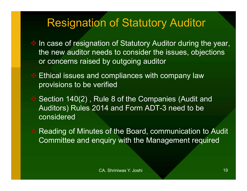#### Resignation of Statutory Auditor

- In case of resignation of Statutory Auditor during the year, the new auditor needs to consider the issues, objections or concerns raised by outgoing auditor
- **Ethical issues and compliances with company law** provisions to be verified
- Section 140(2), Rule 8 of the Companies (Audit and Auditors) Rules 2014 and Form ADT-3 need to be considered ule 8 of the Companies (Audit and<br>
114 and Form ADT-3 need to be<br>
Is of the Board, communication to Audit<br>
Iquiry with the Management required<br>
CA. Shriniwas Y. Joshi
- **Reading of Minutes of the Board, communication to Audit** Committee and enquiry with the Management required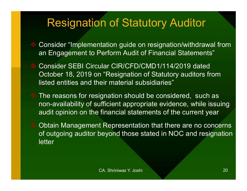#### Resignation of Statutory Auditor

- Consider "Implementation guide on resignation/withdrawal from an Engagement to Perform Audit of Financial Statements"
- Consider SEBI Circular CIR/CFD/CMD1/114/2019 dated October 18, 2019 on "Resignation of Statutory auditors from listed entities and their material subsidiaries"
- $\cdot$  The reasons for resignation should be considered, such as non-availability of sufficient appropriate evidence, while issuing audit opinion on the financial statements of the current year ignation should be considered, such as<br>ufficient appropriate evidence, while issuing<br>financial statements of the current year<br>t Representation that there are no concerns<br>beyond those stated in NOC and resignatio<br>ca. Shrini
- **♦ Obtain Management Representation that there are no concerns** of outgoing auditor beyond those stated in NOC and resignation letter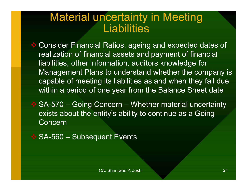#### Material uncertainty in Meeting **Liabilities**

 Consider Financial Ratios, ageing and expected dates of realization of financial assets and payment of financial liabilities, other information, auditors knowledge for Management Plans to understand whether the company is capable of meeting its liabilities as and when they fall due within a period of one year from the Balance Sheet date **Liabilities**<br>  $\bullet$  Consider Financial Ratios, ageing and expected dates of<br>
realization of financial assets and payment of financial<br>
liabilities, other information, auditors knowledge for<br>
Management Plans to understand liabilities, other information, auditors know<br>Management Plans to understand wheth<br>capable of meeting its liabilities as and w<br>within a period of one year from the Balai<br> $\div$  SA-570 – Going Concern – Whether materials abo

exists about the entity's ability to continue as a Going Concern Shriniwas Y. Joshi 21<br>CA. Shriniwas Y. Joshi 21<br>CA. Shriniwas Y. Joshi 21

|  | SA-560 - Subsequent Events |  |
|--|----------------------------|--|
|--|----------------------------|--|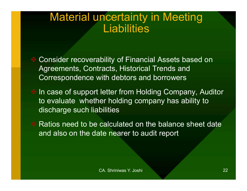#### Material uncertainty in Meeting **Liabilities**

 Consider recoverability of Financial Assets based on Agreements, Contracts, Historical Trends and Correspondence with debtors and borrowers

In case of support letter from Holding Company, Auditor to evaluate whether holding company has ability to discharge such liabilities letter from Holding Company, Auditor<br>er holding company has ability to<br>bilities<br>calculated on the balance sheet date<br>te nearer to audit report<br>ca. Shriniwas Y. Joshi

Ratios need to be calculated on the balance sheet date and also on the date nearer to audit report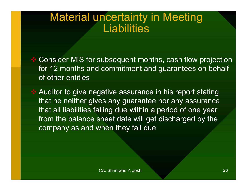#### Material uncertainty in Meeting **Liabilities**

**EX** Consider MIS for subsequent months, cash flow projection for 12 months and commitment and guarantees on behalf of other entities

 Auditor to give negative assurance in his report stating that he neither gives any guarantee nor any assurance that all liabilities falling due within a period of one year from the balance sheet date will get discharged by the company as and when they fall due yative assurance in his report stating<br>es any guarantee nor any assurance<br>Illing due within a period of one year<br>sheet date will get discharged by the<br>vhen they fall due<br>ca. Shriniwas Y. Joshi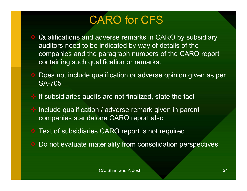## CARO for CFS

- Qualifications and adverse remarks in CARO by subsidiary auditors need to be indicated by way of details of the companies and the paragraph numbers of the CARO report containing such qualification or remarks.
- ◆ Does not include qualification or adverse opinion given as per SA-705
- $\cdot$  If subsidiaries audits are not finalized, state the fact
- Include qualification / adverse remark given in parent companies standalone CARO report also Shriman are not finalized, state the fact<br>
Calverse remark given in parent<br>
Die CARO report also<br>
CARO report is not required<br>
Edaricality from consolidation perspectives<br>
CA. Shriniwas Y. Joshi
- **★ Text of subsidiaries CARO report is not required**
- Do not evaluate materiality from consolidation perspectives